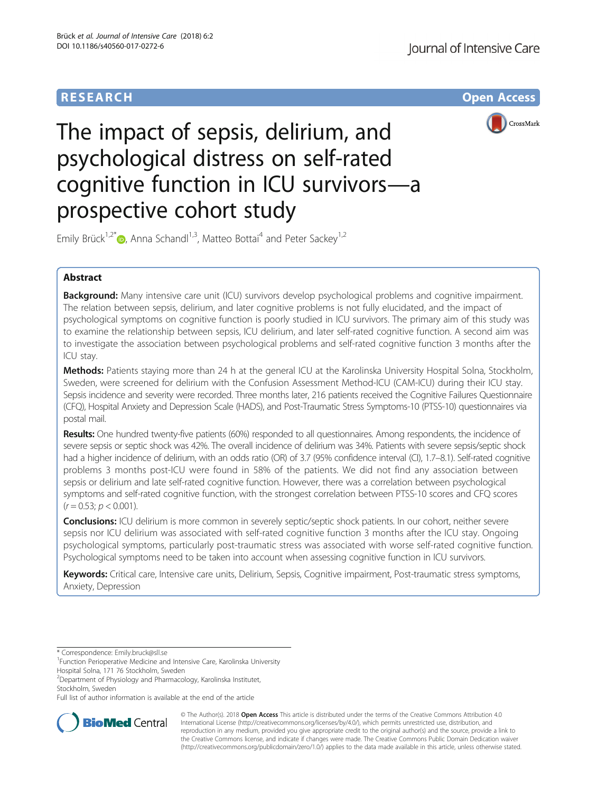# **RESEARCH CHE Open Access**



# The impact of sepsis, delirium, and psychological distress on self-rated cognitive function in ICU survivors—a prospective cohort study

Emily Brück<sup>1,2\*</sup> $\bullet$ , Anna Schandl<sup>1,3</sup>, Matteo Bottai<sup>4</sup> and Peter Sackey<sup>1,2</sup>

# Abstract

**Background:** Many intensive care unit (ICU) survivors develop psychological problems and cognitive impairment. The relation between sepsis, delirium, and later cognitive problems is not fully elucidated, and the impact of psychological symptoms on cognitive function is poorly studied in ICU survivors. The primary aim of this study was to examine the relationship between sepsis, ICU delirium, and later self-rated cognitive function. A second aim was to investigate the association between psychological problems and self-rated cognitive function 3 months after the ICU stay.

Methods: Patients staying more than 24 h at the general ICU at the Karolinska University Hospital Solna, Stockholm, Sweden, were screened for delirium with the Confusion Assessment Method-ICU (CAM-ICU) during their ICU stay. Sepsis incidence and severity were recorded. Three months later, 216 patients received the Cognitive Failures Questionnaire (CFQ), Hospital Anxiety and Depression Scale (HADS), and Post-Traumatic Stress Symptoms-10 (PTSS-10) questionnaires via postal mail.

Results: One hundred twenty-five patients (60%) responded to all questionnaires. Among respondents, the incidence of severe sepsis or septic shock was 42%. The overall incidence of delirium was 34%. Patients with severe sepsis/septic shock had a higher incidence of delirium, with an odds ratio (OR) of 3.7 (95% confidence interval (CI), 1.7–8.1). Self-rated cognitive problems 3 months post-ICU were found in 58% of the patients. We did not find any association between sepsis or delirium and late self-rated cognitive function. However, there was a correlation between psychological symptoms and self-rated cognitive function, with the strongest correlation between PTSS-10 scores and CFQ scores  $(r = 0.53; p < 0.001)$ .

**Conclusions:** ICU delirium is more common in severely septic/septic shock patients. In our cohort, neither severe sepsis nor ICU delirium was associated with self-rated cognitive function 3 months after the ICU stay. Ongoing psychological symptoms, particularly post-traumatic stress was associated with worse self-rated cognitive function. Psychological symptoms need to be taken into account when assessing cognitive function in ICU survivors.

Keywords: Critical care, Intensive care units, Delirium, Sepsis, Cognitive impairment, Post-traumatic stress symptoms, Anxiety, Depression

\* Correspondence: [Emily.bruck@sll.se](mailto:Emily.bruck@sll.se) <sup>1</sup>

<sup>1</sup> Function Perioperative Medicine and Intensive Care, Karolinska University Hospital Solna, 171 76 Stockholm, Sweden

<sup>2</sup> Department of Physiology and Pharmacology, Karolinska Institutet, Stockholm, Sweden

Full list of author information is available at the end of the article



© The Author(s). 2018 Open Access This article is distributed under the terms of the Creative Commons Attribution 4.0 International License [\(http://creativecommons.org/licenses/by/4.0/](http://creativecommons.org/licenses/by/4.0/)), which permits unrestricted use, distribution, and reproduction in any medium, provided you give appropriate credit to the original author(s) and the source, provide a link to the Creative Commons license, and indicate if changes were made. The Creative Commons Public Domain Dedication waiver [\(http://creativecommons.org/publicdomain/zero/1.0/](http://creativecommons.org/publicdomain/zero/1.0/)) applies to the data made available in this article, unless otherwise stated.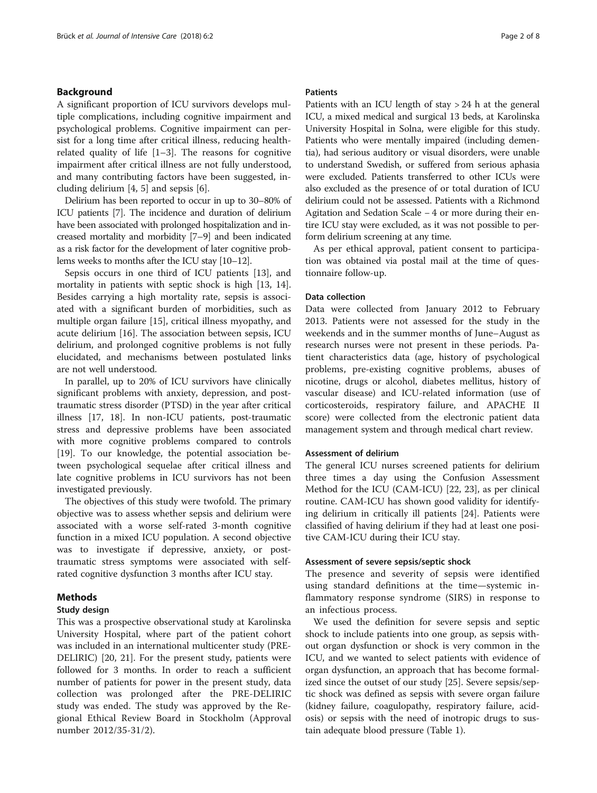# Background

A significant proportion of ICU survivors develops multiple complications, including cognitive impairment and psychological problems. Cognitive impairment can persist for a long time after critical illness, reducing healthrelated quality of life  $[1-3]$  $[1-3]$  $[1-3]$  $[1-3]$ . The reasons for cognitive impairment after critical illness are not fully understood, and many contributing factors have been suggested, including delirium [\[4](#page-6-0), [5](#page-6-0)] and sepsis [[6\]](#page-6-0).

Delirium has been reported to occur in up to 30–80% of ICU patients [\[7](#page-6-0)]. The incidence and duration of delirium have been associated with prolonged hospitalization and increased mortality and morbidity [\[7](#page-6-0)–[9](#page-6-0)] and been indicated as a risk factor for the development of later cognitive problems weeks to months after the ICU stay [[10](#page-6-0)–[12](#page-6-0)].

Sepsis occurs in one third of ICU patients [[13\]](#page-6-0), and mortality in patients with septic shock is high [\[13](#page-6-0), [14](#page-6-0)]. Besides carrying a high mortality rate, sepsis is associated with a significant burden of morbidities, such as multiple organ failure [[15](#page-6-0)], critical illness myopathy, and acute delirium [\[16\]](#page-6-0). The association between sepsis, ICU delirium, and prolonged cognitive problems is not fully elucidated, and mechanisms between postulated links are not well understood.

In parallel, up to 20% of ICU survivors have clinically significant problems with anxiety, depression, and posttraumatic stress disorder (PTSD) in the year after critical illness [\[17](#page-6-0), [18\]](#page-6-0). In non-ICU patients, post-traumatic stress and depressive problems have been associated with more cognitive problems compared to controls [[19\]](#page-6-0). To our knowledge, the potential association between psychological sequelae after critical illness and late cognitive problems in ICU survivors has not been investigated previously.

The objectives of this study were twofold. The primary objective was to assess whether sepsis and delirium were associated with a worse self-rated 3-month cognitive function in a mixed ICU population. A second objective was to investigate if depressive, anxiety, or posttraumatic stress symptoms were associated with selfrated cognitive dysfunction 3 months after ICU stay.

# Methods

# Study design

This was a prospective observational study at Karolinska University Hospital, where part of the patient cohort was included in an international multicenter study (PRE-DELIRIC) [\[20](#page-6-0), [21\]](#page-6-0). For the present study, patients were followed for 3 months. In order to reach a sufficient number of patients for power in the present study, data collection was prolonged after the PRE-DELIRIC study was ended. The study was approved by the Regional Ethical Review Board in Stockholm (Approval number 2012/35-31/2).

#### Patients

Patients with an ICU length of stay > 24 h at the general ICU, a mixed medical and surgical 13 beds, at Karolinska University Hospital in Solna, were eligible for this study. Patients who were mentally impaired (including dementia), had serious auditory or visual disorders, were unable to understand Swedish, or suffered from serious aphasia were excluded. Patients transferred to other ICUs were also excluded as the presence of or total duration of ICU delirium could not be assessed. Patients with a Richmond Agitation and Sedation Scale − 4 or more during their entire ICU stay were excluded, as it was not possible to perform delirium screening at any time.

As per ethical approval, patient consent to participation was obtained via postal mail at the time of questionnaire follow-up.

# Data collection

Data were collected from January 2012 to February 2013. Patients were not assessed for the study in the weekends and in the summer months of June–August as research nurses were not present in these periods. Patient characteristics data (age, history of psychological problems, pre-existing cognitive problems, abuses of nicotine, drugs or alcohol, diabetes mellitus, history of vascular disease) and ICU-related information (use of corticosteroids, respiratory failure, and APACHE II score) were collected from the electronic patient data management system and through medical chart review.

## Assessment of delirium

The general ICU nurses screened patients for delirium three times a day using the Confusion Assessment Method for the ICU (CAM-ICU) [\[22](#page-6-0), [23](#page-6-0)], as per clinical routine. CAM-ICU has shown good validity for identifying delirium in critically ill patients [\[24\]](#page-6-0). Patients were classified of having delirium if they had at least one positive CAM-ICU during their ICU stay.

#### Assessment of severe sepsis/septic shock

The presence and severity of sepsis were identified using standard definitions at the time—systemic inflammatory response syndrome (SIRS) in response to an infectious process.

We used the definition for severe sepsis and septic shock to include patients into one group, as sepsis without organ dysfunction or shock is very common in the ICU, and we wanted to select patients with evidence of organ dysfunction, an approach that has become formalized since the outset of our study [\[25\]](#page-6-0). Severe sepsis/septic shock was defined as sepsis with severe organ failure (kidney failure, coagulopathy, respiratory failure, acidosis) or sepsis with the need of inotropic drugs to sustain adequate blood pressure (Table [1](#page-2-0)).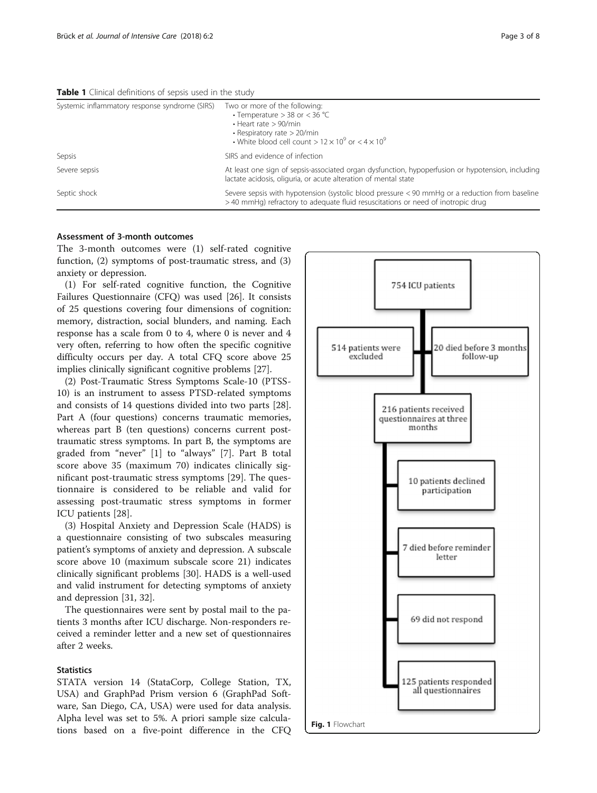<span id="page-2-0"></span>

| Table 1 Clinical definitions of sepsis used in the study |  |
|----------------------------------------------------------|--|
|----------------------------------------------------------|--|

| Systemic inflammatory response syndrome (SIRS) | Two or more of the following:<br>• Temperature $>$ 38 or $<$ 36 °C<br>$\cdot$ Heart rate $>90$ /min<br>• Respiratory rate $> 20$ /min<br>• White blood cell count > $12 \times 10^9$ or $< 4 \times 10^9$ |
|------------------------------------------------|-----------------------------------------------------------------------------------------------------------------------------------------------------------------------------------------------------------|
| Sepsis                                         | SIRS and evidence of infection                                                                                                                                                                            |
| Severe sepsis                                  | At least one sign of sepsis-associated organ dysfunction, hypoperfusion or hypotension, including<br>lactate acidosis, oliguria, or acute alteration of mental state                                      |
| Septic shock                                   | Severe sepsis with hypotension (systolic blood pressure < 90 mmHq or a reduction from baseline<br>>40 mmHg) refractory to adequate fluid resuscitations or need of inotropic drug                         |

#### Assessment of 3-month outcomes

The 3-month outcomes were (1) self-rated cognitive function, (2) symptoms of post-traumatic stress, and (3) anxiety or depression.

(1) For self-rated cognitive function, the Cognitive Failures Questionnaire (CFQ) was used [[26\]](#page-6-0). It consists of 25 questions covering four dimensions of cognition: memory, distraction, social blunders, and naming. Each response has a scale from 0 to 4, where 0 is never and 4 very often, referring to how often the specific cognitive difficulty occurs per day. A total CFQ score above 25 implies clinically significant cognitive problems [\[27](#page-6-0)].

(2) Post-Traumatic Stress Symptoms Scale-10 (PTSS-10) is an instrument to assess PTSD-related symptoms and consists of 14 questions divided into two parts [\[28](#page-6-0)]. Part A (four questions) concerns traumatic memories, whereas part B (ten questions) concerns current posttraumatic stress symptoms. In part B, the symptoms are graded from "never" [[1\]](#page-6-0) to "always" [\[7](#page-6-0)]. Part B total score above 35 (maximum 70) indicates clinically significant post-traumatic stress symptoms [[29](#page-6-0)]. The questionnaire is considered to be reliable and valid for assessing post-traumatic stress symptoms in former ICU patients [\[28](#page-6-0)].

(3) Hospital Anxiety and Depression Scale (HADS) is a questionnaire consisting of two subscales measuring patient's symptoms of anxiety and depression. A subscale score above 10 (maximum subscale score 21) indicates clinically significant problems [[30](#page-6-0)]. HADS is a well-used and valid instrument for detecting symptoms of anxiety and depression [\[31](#page-6-0), [32](#page-6-0)].

The questionnaires were sent by postal mail to the patients 3 months after ICU discharge. Non-responders received a reminder letter and a new set of questionnaires after 2 weeks.

#### **Statistics**

STATA version 14 (StataCorp, College Station, TX, USA) and GraphPad Prism version 6 (GraphPad Software, San Diego, CA, USA) were used for data analysis. Alpha level was set to 5%. A priori sample size calculations based on a five-point difference in the CFQ

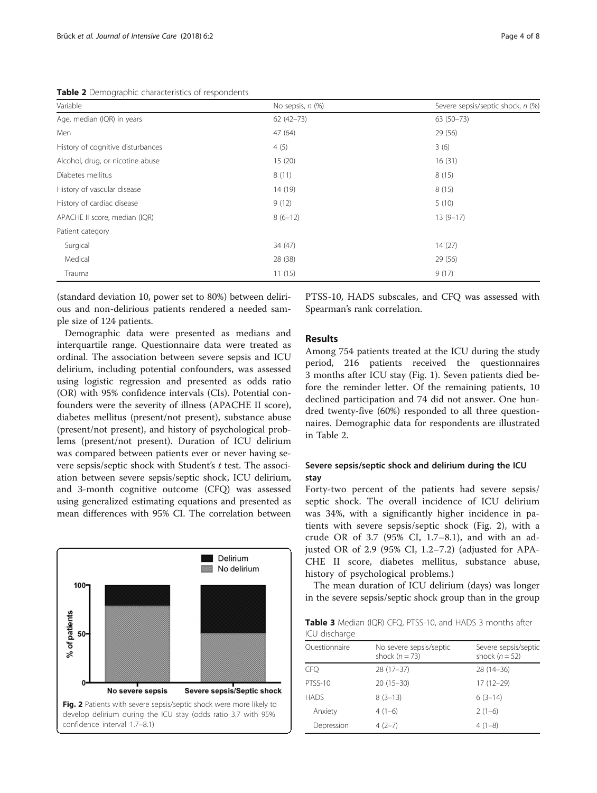<span id="page-3-0"></span>Table 2 Demographic characteristics of respondents

| Variable                          | No sepsis, $n$ $(\%)$ | Severe sepsis/septic shock, n (%) |
|-----------------------------------|-----------------------|-----------------------------------|
| Age, median (IQR) in years        | $62(42-73)$           | 63 (50-73)                        |
| Men                               | 47 (64)               | 29 (56)                           |
| History of cognitive disturbances | 4(5)                  | 3(6)                              |
| Alcohol, drug, or nicotine abuse  | 15(20)                | 16(31)                            |
| Diabetes mellitus                 | 8(11)                 | 8(15)                             |
| History of vascular disease       | 14 (19)               | 8(15)                             |
| History of cardiac disease        | 9(12)                 | 5(10)                             |
| APACHE II score, median (IQR)     | $8(6-12)$             | $13(9-17)$                        |
| Patient category                  |                       |                                   |
| Surgical                          | 34 (47)               | 14(27)                            |
| Medical                           | 28 (38)               | 29 (56)                           |
| Trauma                            | 11(15)                | 9(17)                             |

(standard deviation 10, power set to 80%) between delirious and non-delirious patients rendered a needed sample size of 124 patients.

Demographic data were presented as medians and interquartile range. Questionnaire data were treated as ordinal. The association between severe sepsis and ICU delirium, including potential confounders, was assessed using logistic regression and presented as odds ratio (OR) with 95% confidence intervals (CIs). Potential confounders were the severity of illness (APACHE II score), diabetes mellitus (present/not present), substance abuse (present/not present), and history of psychological problems (present/not present). Duration of ICU delirium was compared between patients ever or never having severe sepsis/septic shock with Student's  $t$  test. The association between severe sepsis/septic shock, ICU delirium, and 3-month cognitive outcome (CFQ) was assessed using generalized estimating equations and presented as mean differences with 95% CI. The correlation between



PTSS-10, HADS subscales, and CFQ was assessed with Spearman's rank correlation.

### Results

Among 754 patients treated at the ICU during the study period, 216 patients received the questionnaires 3 months after ICU stay (Fig. [1\)](#page-2-0). Seven patients died before the reminder letter. Of the remaining patients, 10 declined participation and 74 did not answer. One hundred twenty-five (60%) responded to all three questionnaires. Demographic data for respondents are illustrated in Table 2.

# Severe sepsis/septic shock and delirium during the ICU stay

Forty-two percent of the patients had severe sepsis/ septic shock. The overall incidence of ICU delirium was 34%, with a significantly higher incidence in patients with severe sepsis/septic shock (Fig. 2), with a crude OR of 3.7 (95% CI, 1.7–8.1), and with an adjusted OR of 2.9 (95% CI, 1.2–7.2) (adjusted for APA-CHE II score, diabetes mellitus, substance abuse, history of psychological problems.)

The mean duration of ICU delirium (days) was longer in the severe sepsis/septic shock group than in the group

Table 3 Median (IQR) CFQ, PTSS-10, and HADS 3 months after ICU discharge

| Ouestionnaire | No severe sepsis/septic<br>shock $(n = 73)$ | Severe sepsis/septic<br>shock ( $n = 52$ ) |
|---------------|---------------------------------------------|--------------------------------------------|
| <b>CFO</b>    | $28(17-37)$                                 | $28(14-36)$                                |
| PTSS-10       | $20(15-30)$                                 | $17(12-29)$                                |
| <b>HADS</b>   | $8(3-13)$                                   | $6(3-14)$                                  |
| Anxiety       | $4(1-6)$                                    | $2(1-6)$                                   |
| Depression    | $4(2-7)$                                    | $4(1-8)$                                   |
|               |                                             |                                            |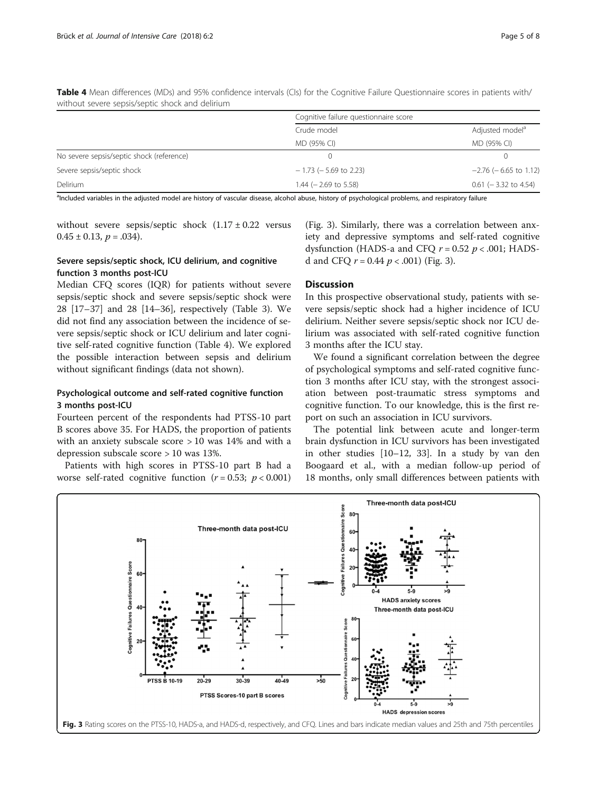| <b>THE REPORT SERVICE SERVICE SERVICE SHOCK GETTING</b> |                                       |                             |  |  |
|---------------------------------------------------------|---------------------------------------|-----------------------------|--|--|
|                                                         | Cognitive failure questionnaire score |                             |  |  |
|                                                         | Crude model                           | Adjusted model <sup>a</sup> |  |  |
|                                                         | MD (95% CI)                           | MD (95% CI)                 |  |  |
| No severe sepsis/septic shock (reference)               |                                       |                             |  |  |
| Severe sepsis/septic shock                              | $-1.73$ ( $-5.69$ to 2.23)            | $-2.76$ ( $-6.65$ to 1.12)  |  |  |
| Delirium                                                | 1.44 ( $-2.69$ to 5.58)               | $0.61$ (-3.32 to 4.54)      |  |  |

Table 4 Mean differences (MDs) and 95% confidence intervals (Cls) for the Cognitive Failure Questionnaire scores in patients with/ without severe sepsis/septic shock and delirium

<sup>a</sup>Included variables in the adjusted model are history of vascular disease, alcohol abuse, history of psychological problems, and respiratory failure

without severe sepsis/septic shock  $(1.17 \pm 0.22$  versus  $0.45 \pm 0.13$ ,  $p = .034$ ).

# Severe sepsis/septic shock, ICU delirium, and cognitive function 3 months post-ICU

Median CFQ scores (IQR) for patients without severe sepsis/septic shock and severe sepsis/septic shock were 28 [\[17](#page-6-0)–[37\]](#page-6-0) and 28 [\[14](#page-6-0)–[36\]](#page-6-0), respectively (Table [3](#page-3-0)). We did not find any association between the incidence of severe sepsis/septic shock or ICU delirium and later cognitive self-rated cognitive function (Table 4). We explored the possible interaction between sepsis and delirium without significant findings (data not shown).

## Psychological outcome and self-rated cognitive function 3 months post-ICU

Fourteen percent of the respondents had PTSS-10 part B scores above 35. For HADS, the proportion of patients with an anxiety subscale score > 10 was 14% and with a depression subscale score > 10 was 13%.

Patients with high scores in PTSS-10 part B had a worse self-rated cognitive function  $(r = 0.53; p < 0.001)$ 

(Fig. 3). Similarly, there was a correlation between anxiety and depressive symptoms and self-rated cognitive dysfunction (HADS-a and CFQ  $r = 0.52$   $p < .001$ ; HADSd and CFQ  $r = 0.44$   $p < .001$ ) (Fig. 3).

# **Discussion**

In this prospective observational study, patients with severe sepsis/septic shock had a higher incidence of ICU delirium. Neither severe sepsis/septic shock nor ICU delirium was associated with self-rated cognitive function 3 months after the ICU stay.

We found a significant correlation between the degree of psychological symptoms and self-rated cognitive function 3 months after ICU stay, with the strongest association between post-traumatic stress symptoms and cognitive function. To our knowledge, this is the first report on such an association in ICU survivors.

The potential link between acute and longer-term brain dysfunction in ICU survivors has been investigated in other studies [[10](#page-6-0)–[12](#page-6-0), [33\]](#page-6-0). In a study by van den Boogaard et al., with a median follow-up period of 18 months, only small differences between patients with

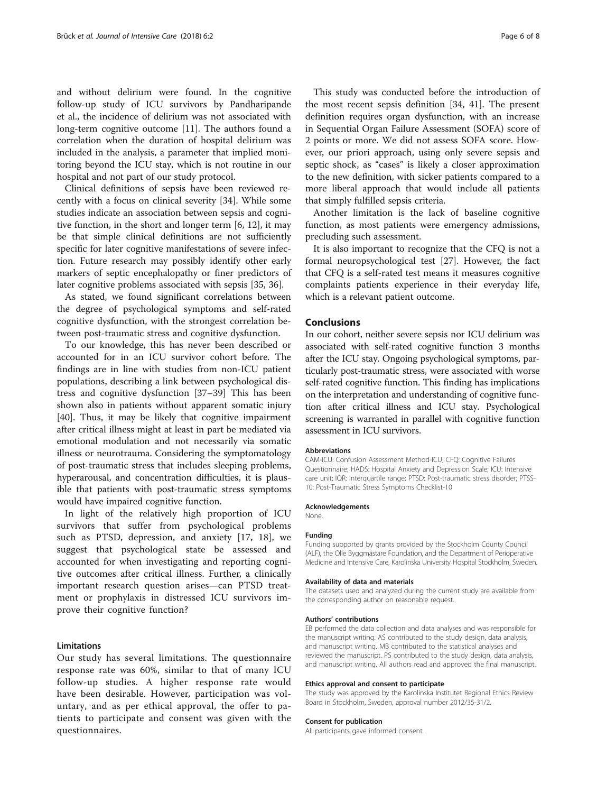and without delirium were found. In the cognitive follow-up study of ICU survivors by Pandharipande et al., the incidence of delirium was not associated with long-term cognitive outcome [[11\]](#page-6-0). The authors found a correlation when the duration of hospital delirium was included in the analysis, a parameter that implied monitoring beyond the ICU stay, which is not routine in our hospital and not part of our study protocol.

Clinical definitions of sepsis have been reviewed recently with a focus on clinical severity [\[34](#page-6-0)]. While some studies indicate an association between sepsis and cognitive function, in the short and longer term [[6, 12\]](#page-6-0), it may be that simple clinical definitions are not sufficiently specific for later cognitive manifestations of severe infection. Future research may possibly identify other early markers of septic encephalopathy or finer predictors of later cognitive problems associated with sepsis [\[35](#page-6-0), [36\]](#page-6-0).

As stated, we found significant correlations between the degree of psychological symptoms and self-rated cognitive dysfunction, with the strongest correlation between post-traumatic stress and cognitive dysfunction.

To our knowledge, this has never been described or accounted for in an ICU survivor cohort before. The findings are in line with studies from non-ICU patient populations, describing a link between psychological distress and cognitive dysfunction [[37](#page-6-0)–[39](#page-6-0)] This has been shown also in patients without apparent somatic injury [[40\]](#page-6-0). Thus, it may be likely that cognitive impairment after critical illness might at least in part be mediated via emotional modulation and not necessarily via somatic illness or neurotrauma. Considering the symptomatology of post-traumatic stress that includes sleeping problems, hyperarousal, and concentration difficulties, it is plausible that patients with post-traumatic stress symptoms would have impaired cognitive function.

In light of the relatively high proportion of ICU survivors that suffer from psychological problems such as PTSD, depression, and anxiety [\[17](#page-6-0), [18](#page-6-0)], we suggest that psychological state be assessed and accounted for when investigating and reporting cognitive outcomes after critical illness. Further, a clinically important research question arises—can PTSD treatment or prophylaxis in distressed ICU survivors improve their cognitive function?

#### Limitations

Our study has several limitations. The questionnaire response rate was 60%, similar to that of many ICU follow-up studies. A higher response rate would have been desirable. However, participation was voluntary, and as per ethical approval, the offer to patients to participate and consent was given with the questionnaires.

This study was conducted before the introduction of the most recent sepsis definition [[34,](#page-6-0) [41](#page-7-0)]. The present definition requires organ dysfunction, with an increase in Sequential Organ Failure Assessment (SOFA) score of 2 points or more. We did not assess SOFA score. However, our priori approach, using only severe sepsis and septic shock, as "cases" is likely a closer approximation to the new definition, with sicker patients compared to a more liberal approach that would include all patients that simply fulfilled sepsis criteria.

Another limitation is the lack of baseline cognitive function, as most patients were emergency admissions, precluding such assessment.

It is also important to recognize that the CFQ is not a formal neuropsychological test [[27](#page-6-0)]. However, the fact that CFQ is a self-rated test means it measures cognitive complaints patients experience in their everyday life, which is a relevant patient outcome.

#### **Conclusions**

In our cohort, neither severe sepsis nor ICU delirium was associated with self-rated cognitive function 3 months after the ICU stay. Ongoing psychological symptoms, particularly post-traumatic stress, were associated with worse self-rated cognitive function. This finding has implications on the interpretation and understanding of cognitive function after critical illness and ICU stay. Psychological screening is warranted in parallel with cognitive function assessment in ICU survivors.

#### **Abbreviations**

CAM-ICU: Confusion Assessment Method-ICU; CFQ: Cognitive Failures Questionnaire; HADS: Hospital Anxiety and Depression Scale; ICU: Intensive care unit; IQR: Interquartile range; PTSD: Post-traumatic stress disorder; PTSS-10: Post-Traumatic Stress Symptoms Checklist-10

#### Acknowledgements

None.

### Funding

Funding supported by grants provided by the Stockholm County Council (ALF), the Olle Byggmästare Foundation, and the Department of Perioperative Medicine and Intensive Care, Karolinska University Hospital Stockholm, Sweden.

#### Availability of data and materials

The datasets used and analyzed during the current study are available from the corresponding author on reasonable request.

#### Authors' contributions

EB performed the data collection and data analyses and was responsible for the manuscript writing. AS contributed to the study design, data analysis, and manuscript writing. MB contributed to the statistical analyses and reviewed the manuscript. PS contributed to the study design, data analysis, and manuscript writing. All authors read and approved the final manuscript.

#### Ethics approval and consent to participate

The study was approved by the Karolinska Institutet Regional Ethics Review Board in Stockholm, Sweden, approval number 2012/35-31/2.

#### Consent for publication

All participants gave informed consent.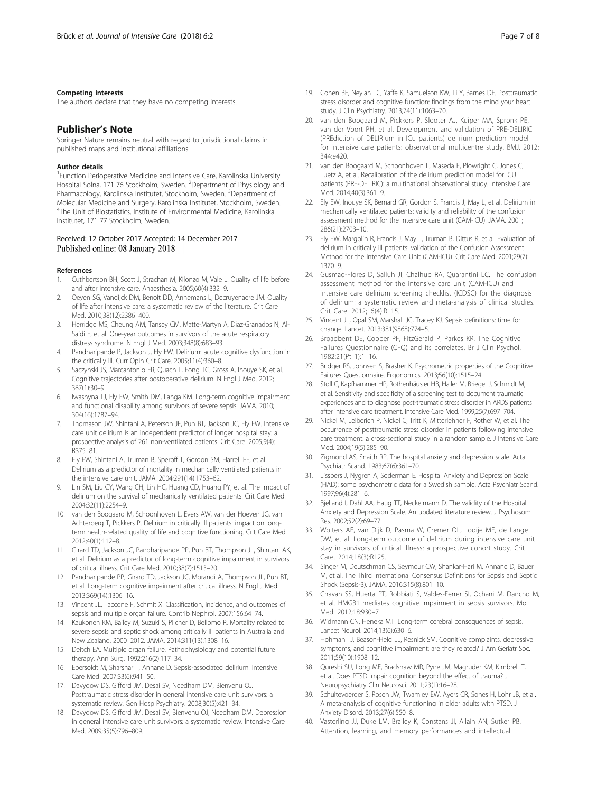#### <span id="page-6-0"></span>Competing interests

The authors declare that they have no competing interests.

#### Publisher's Note

Springer Nature remains neutral with regard to jurisdictional claims in published maps and institutional affiliations.

#### Author details

<sup>1</sup> Function Perioperative Medicine and Intensive Care, Karolinska University Hospital Solna, 171 76 Stockholm, Sweden. <sup>2</sup>Department of Physiology and Pharmacology, Karolinska Institutet, Stockholm, Sweden. <sup>3</sup>Department of Molecular Medicine and Surgery, Karolinska Institutet, Stockholm, Sweden. 4 The Unit of Biostatistics, Institute of Environmental Medicine, Karolinska Institutet, 171 77 Stockholm, Sweden.

#### Received: 12 October 2017 Accepted: 14 December 2017 Published online: 08 January 2018

#### References

- 1. Cuthbertson BH, Scott J, Strachan M, Kilonzo M, Vale L. Quality of life before and after intensive care. Anaesthesia. 2005;60(4):332–9.
- 2. Oeyen SG, Vandijck DM, Benoit DD, Annemans L, Decruyenaere JM. Quality of life after intensive care: a systematic review of the literature. Crit Care Med. 2010;38(12):2386–400.
- 3. Herridge MS, Cheung AM, Tansey CM, Matte-Martyn A, Diaz-Granados N, Al-Saidi F, et al. One-year outcomes in survivors of the acute respiratory distress syndrome. N Engl J Med. 2003;348(8):683–93.
- 4. Pandharipande P, Jackson J, Ely EW. Delirium: acute cognitive dysfunction in the critically ill. Curr Opin Crit Care. 2005;11(4):360–8.
- Saczynski JS, Marcantonio ER, Quach L, Fong TG, Gross A, Inouye SK, et al. Cognitive trajectories after postoperative delirium. N Engl J Med. 2012; 367(1):30–9.
- 6. Iwashyna TJ, Ely EW, Smith DM, Langa KM. Long-term cognitive impairment and functional disability among survivors of severe sepsis. JAMA. 2010; 304(16):1787–94.
- 7. Thomason JW, Shintani A, Peterson JF, Pun BT, Jackson JC, Ely EW. Intensive care unit delirium is an independent predictor of longer hospital stay: a prospective analysis of 261 non-ventilated patients. Crit Care. 2005;9(4): R375–81.
- Ely EW, Shintani A, Truman B, Speroff T, Gordon SM, Harrell FE, et al. Delirium as a predictor of mortality in mechanically ventilated patients in the intensive care unit. JAMA. 2004;291(14):1753–62.
- 9. Lin SM, Liu CY, Wang CH, Lin HC, Huang CD, Huang PY, et al. The impact of delirium on the survival of mechanically ventilated patients. Crit Care Med. 2004;32(11):2254–9.
- 10. van den Boogaard M, Schoonhoven L, Evers AW, van der Hoeven JG, van Achterberg T, Pickkers P. Delirium in critically ill patients: impact on longterm health-related quality of life and cognitive functioning. Crit Care Med. 2012;40(1):112–8.
- 11. Girard TD, Jackson JC, Pandharipande PP, Pun BT, Thompson JL, Shintani AK, et al. Delirium as a predictor of long-term cognitive impairment in survivors of critical illness. Crit Care Med. 2010;38(7):1513–20.
- 12. Pandharipande PP, Girard TD, Jackson JC, Morandi A, Thompson JL, Pun BT, et al. Long-term cognitive impairment after critical illness. N Engl J Med. 2013;369(14):1306–16.
- 13. Vincent JL, Taccone F, Schmit X. Classification, incidence, and outcomes of sepsis and multiple organ failure. Contrib Nephrol. 2007;156:64–74.
- 14. Kaukonen KM, Bailey M, Suzuki S, Pilcher D, Bellomo R. Mortality related to severe sepsis and septic shock among critically ill patients in Australia and New Zealand, 2000–2012. JAMA. 2014;311(13):1308–16.
- 15. Deitch EA. Multiple organ failure. Pathophysiology and potential future therapy. Ann Surg. 1992;216(2):117–34.
- 16. Ebersoldt M, Sharshar T, Annane D. Sepsis-associated delirium. Intensive Care Med. 2007;33(6):941–50.
- 17. Davydow DS, Gifford JM, Desai SV, Needham DM, Bienvenu OJ. Posttraumatic stress disorder in general intensive care unit survivors: a systematic review. Gen Hosp Psychiatry. 2008;30(5):421–34.
- 18. Davydow DS, Gifford JM, Desai SV, Bienvenu OJ, Needham DM. Depression in general intensive care unit survivors: a systematic review. Intensive Care Med. 2009;35(5):796–809.
- 19. Cohen BE, Neylan TC, Yaffe K, Samuelson KW, Li Y, Barnes DE. Posttraumatic stress disorder and cognitive function: findings from the mind your heart study. J Clin Psychiatry. 2013;74(11):1063–70.
- 20. van den Boogaard M, Pickkers P, Slooter AJ, Kuiper MA, Spronk PE, van der Voort PH, et al. Development and validation of PRE-DELIRIC (PREdiction of DELIRium in ICu patients) delirium prediction model for intensive care patients: observational multicentre study. BMJ. 2012; 344:e420.
- 21. van den Boogaard M, Schoonhoven L, Maseda E, Plowright C, Jones C, Luetz A, et al. Recalibration of the delirium prediction model for ICU patients (PRE-DELIRIC): a multinational observational study. Intensive Care Med. 2014;40(3):361–9.
- 22. Ely EW, Inouye SK, Bernard GR, Gordon S, Francis J, May L, et al. Delirium in mechanically ventilated patients: validity and reliability of the confusion assessment method for the intensive care unit (CAM-ICU). JAMA. 2001; 286(21):2703–10.
- 23. Ely EW, Margolin R, Francis J, May L, Truman B, Dittus R, et al. Evaluation of delirium in critically ill patients: validation of the Confusion Assessment Method for the Intensive Care Unit (CAM-ICU). Crit Care Med. 2001;29(7): 1370–9.
- 24. Gusmao-Flores D, Salluh JI, Chalhub RA, Quarantini LC. The confusion assessment method for the intensive care unit (CAM-ICU) and intensive care delirium screening checklist (ICDSC) for the diagnosis of delirium: a systematic review and meta-analysis of clinical studies. Crit Care. 2012;16(4):R115.
- 25. Vincent JL, Opal SM, Marshall JC, Tracey KJ. Sepsis definitions: time for change. Lancet. 2013;381(9868):774–5.
- 26. Broadbent DE, Cooper PF, FitzGerald P, Parkes KR. The Cognitive Failures Questionnaire (CFQ) and its correlates. Br J Clin Psychol. 1982;21(Pt 1):1–16.
- 27. Bridger RS, Johnsen S, Brasher K. Psychometric properties of the Cognitive Failures Questionnaire. Ergonomics. 2013;56(10):1515–24.
- 28. Stoll C, Kapfhammer HP, Rothenhäusler HB, Haller M, Briegel J, Schmidt M, et al. Sensitivity and specificity of a screening test to document traumatic experiences and to diagnose post-traumatic stress disorder in ARDS patients after intensive care treatment. Intensive Care Med. 1999;25(7):697–704.
- 29. Nickel M, Leiberich P, Nickel C, Tritt K, Mitterlehner F, Rother W, et al. The occurrence of posttraumatic stress disorder in patients following intensive care treatment: a cross-sectional study in a random sample. J Intensive Care Med. 2004;19(5):285–90.
- 30. Zigmond AS, Snaith RP. The hospital anxiety and depression scale. Acta Psychiatr Scand. 1983;67(6):361–70.
- 31. Lisspers J, Nygren A, Soderman E. Hospital Anxiety and Depression Scale (HAD): some psychometric data for a Swedish sample. Acta Psychiatr Scand. 1997;96(4):281–6.
- 32. Bjelland I, Dahl AA, Haug TT, Neckelmann D. The validity of the Hospital Anxiety and Depression Scale. An updated literature review. J Psychosom Res. 2002;52(2):69–77.
- 33. Wolters AE, van Dijk D, Pasma W, Cremer OL, Looije MF, de Lange DW, et al. Long-term outcome of delirium during intensive care unit stay in survivors of critical illness: a prospective cohort study. Crit Care. 2014;18(3):R125.
- 34. Singer M, Deutschman CS, Seymour CW, Shankar-Hari M, Annane D, Bauer M, et al. The Third International Consensus Definitions for Sepsis and Septic Shock (Sepsis-3). JAMA. 2016;315(8):801–10.
- 35. Chavan SS, Huerta PT, Robbiati S, Valdes-Ferrer SI, Ochani M, Dancho M, et al. HMGB1 mediates cognitive impairment in sepsis survivors. Mol Med. 2012;18:930–7
- 36. Widmann CN, Heneka MT. Long-term cerebral consequences of sepsis. Lancet Neurol. 2014;13(6):630–6.
- 37. Hohman TJ, Beason-Held LL, Resnick SM. Cognitive complaints, depressive symptoms, and cognitive impairment: are they related? J Am Geriatr Soc. 2011;59(10):1908–12.
- 38. Qureshi SU, Long ME, Bradshaw MR, Pyne JM, Magruder KM, Kimbrell T, et al. Does PTSD impair cognition beyond the effect of trauma? J Neuropsychiatry Clin Neurosci. 2011;23(1):16–28.
- 39. Schuitevoerder S, Rosen JW, Twamley EW, Ayers CR, Sones H, Lohr JB, et al. A meta-analysis of cognitive functioning in older adults with PTSD. J Anxiety Disord. 2013;27(6):550–8.
- 40. Vasterling JJ, Duke LM, Brailey K, Constans JI, Allain AN, Sutker PB. Attention, learning, and memory performances and intellectual